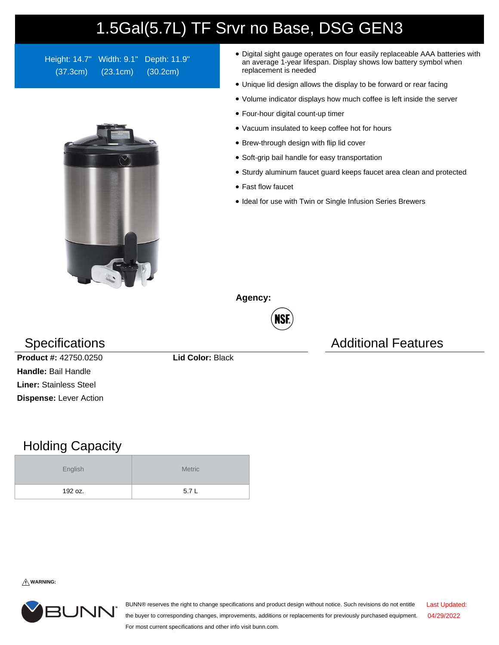## 1.5Gal(5.7L) TF Srvr no Base, DSG GEN3

Height: 14.7" Width: 9.1" Depth: 11.9" (37.3cm) (23.1cm) (30.2cm)



- Digital sight gauge operates on four easily replaceable AAA batteries with an average 1-year lifespan. Display shows low battery symbol when replacement is needed
- Unique lid design allows the display to be forward or rear facing
- Volume indicator displays how much coffee is left inside the server
- Four-hour digital count-up timer
- Vacuum insulated to keep coffee hot for hours
- Brew-through design with flip lid cover
- Soft-grip bail handle for easy transportation
- Sturdy aluminum faucet guard keeps faucet area clean and protected
- Fast flow faucet
- Ideal for use with Twin or Single Infusion Series Brewers

**Agency:**



Specifications **Additional Features** Additional Features

**Product #:** 42750.0250 **Lid Color:** Black **Handle:** Bail Handle **Liner:** Stainless Steel **Dispense:** Lever Action

## Holding Capacity

| English | <b>Metric</b> |  |  |  |
|---------|---------------|--|--|--|
| 192 oz. | 5.7L          |  |  |  |

**WARNING:**



BUNN® reserves the right to change specifications and product design without notice. Such revisions do not entitle the buyer to corresponding changes, improvements, additions or replacements for previously purchased equipment. For most current specifications and other info visit bunn.com. Last Updated: 04/29/2022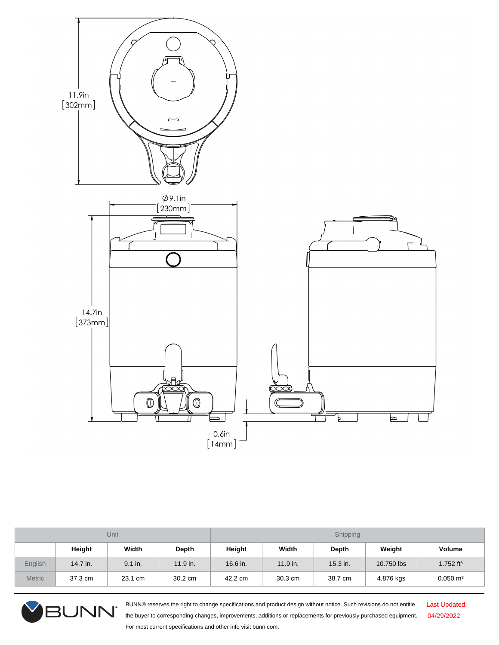

| Unit          |            |         |            | Shipping |            |            |            |                         |  |
|---------------|------------|---------|------------|----------|------------|------------|------------|-------------------------|--|
|               | Height     | Width   | Depth      | Height   | Width      | Depth      | Weight     | Volume                  |  |
| English       | $14.7$ in. | 9.1 in. | $11.9$ in. | 16.6 in. | $11.9$ in. | $15.3$ in. | 10.750 lbs | $1.752$ ft <sup>3</sup> |  |
| <b>Metric</b> | 37.3 cm    | 23.1 cm | 30.2 cm    | 42.2 cm  | 30.3 cm    | 38.7 cm    | 4.876 kgs  | $0.050 \; \text{m}^3$   |  |



BUNN® reserves the right to change specifications and product design without notice. Such revisions do not entitle the buyer to corresponding changes, improvements, additions or replacements for previously purchased equipment. For most current specifications and other info visit bunn.com.

Last Updated: 04/29/2022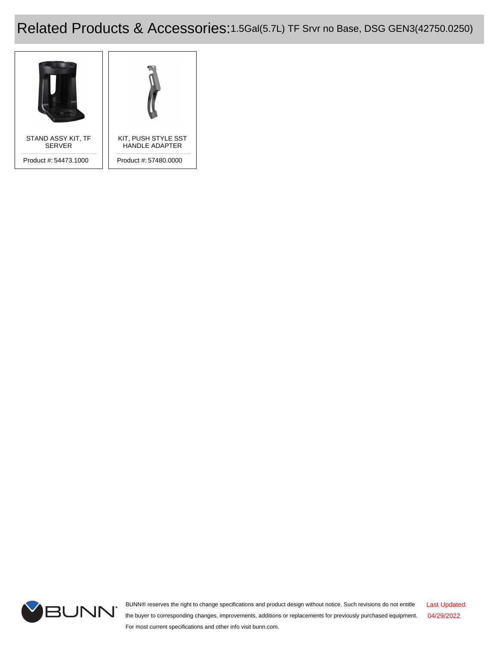## Related Products & Accessories:1.5Gal(5.7L) TF Srvr no Base, DSG GEN3(42750.0250)





BUNN® reserves the right to change specifications and product design without notice. Such revisions do not entitle the buyer to corresponding changes, improvements, additions or replacements for previously purchased equipment. For most current specifications and other info visit bunn.com. Last Updated: 04/29/2022